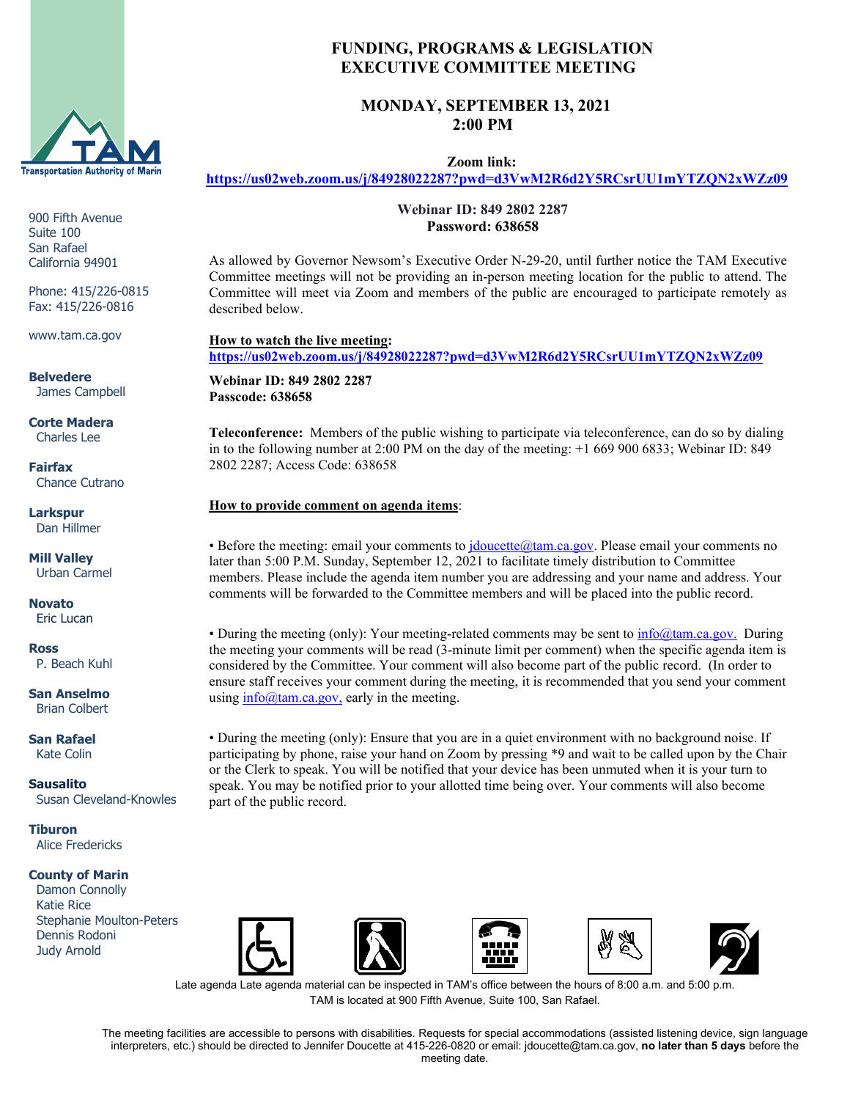

900 Fifth Avenue Suite 100 San Rafael California 94901

Phone: 415/226-0815 Fax: 415/226-0816

www.tam.ca.gov

**Belvedere** James Campbell

**Corte Madera** Charles Lee

**Fairfax** Chance Cutrano

**Larkspur** Dan Hillmer

**Mill Valley** Urban Carmel

**Novato** Eric Lucan

**Ross** P. Beach Kuhl

**San Anselmo** Brian Colbert

**San Rafael** Kate Colin

**Sausalito** Susan Cleveland-Knowles

**Tiburon** Alice Fredericks

### **County of Marin**

 Damon Connolly Katie Rice Stephanie Moulton-Peters Dennis Rodoni Judy Arnold











Late agenda Late agenda material can be inspected in TAM's office between the hours of 8:00 a.m. and 5:00 p.m. TAM is located at 900 Fifth Avenue, Suite 100, San Rafael.

The meeting facilities are accessible to persons with disabilities. Requests for special accommodations (assisted listening device, sign language interpreters, etc.) should be directed to Jennifer Doucette at 415-226-0820 or email: jdoucette@tam.ca.gov, **no later than 5 days** before the meeting date.

# **FUNDING, PROGRAMS & LEGISLATION EXECUTIVE COMMITTEE MEETING**

## **MONDAY, SEPTEMBER 13, 2021 2:00 PM**

 **Zoom link:** 

**<https://us02web.zoom.us/j/84928022287?pwd=d3VwM2R6d2Y5RCsrUU1mYTZQN2xWZz09>**

 **Webinar ID: 849 2802 2287 Password: 638658**

As allowed by Governor Newsom's Executive Order N-29-20, until further notice the TAM Executive Committee meetings will not be providing an in-person meeting location for the public to attend. The Committee will meet via Zoom and members of the public are encouraged to participate remotely as described below.

**How to watch the live meeting: <https://us02web.zoom.us/j/84928022287?pwd=d3VwM2R6d2Y5RCsrUU1mYTZQN2xWZz09>**

**Webinar ID: 849 2802 2287 Passcode: 638658**

**Teleconference:** Members of the public wishing to participate via teleconference, can do so by dialing in to the following number at 2:00 PM on the day of the meeting: +1 669 900 6833; Webinar ID: 849 2802 2287; Access Code: 638658

### **How to provide comment on agenda items**:

• Before the meeting: email your comments to [jdoucette@tam.ca.gov.](mailto:jdoucette@tam.ca.gov) Please email your comments no later than 5:00 P.M. Sunday, September 12, 2021 to facilitate timely distribution to Committee members. Please include the agenda item number you are addressing and your name and address. Your comments will be forwarded to the Committee members and will be placed into the public record.

• During the meeting (only): Your meeting-related comments may be sent to [info@tam.ca.gov.](mailto:info@tam.ca.gov) During the meeting your comments will be read (3-minute limit per comment) when the specific agenda item is considered by the Committee. Your comment will also become part of the public record. (In order to ensure staff receives your comment during the meeting, it is recommended that you send your comment using  $info(\hat{\omega})$  tam.ca.gov, early in the meeting.

• During the meeting (only): Ensure that you are in a quiet environment with no background noise. If participating by phone, raise your hand on Zoom by pressing \*9 and wait to be called upon by the Chair or the Clerk to speak. You will be notified that your device has been unmuted when it is your turn to speak. You may be notified prior to your allotted time being over. Your comments will also become part of the public record.